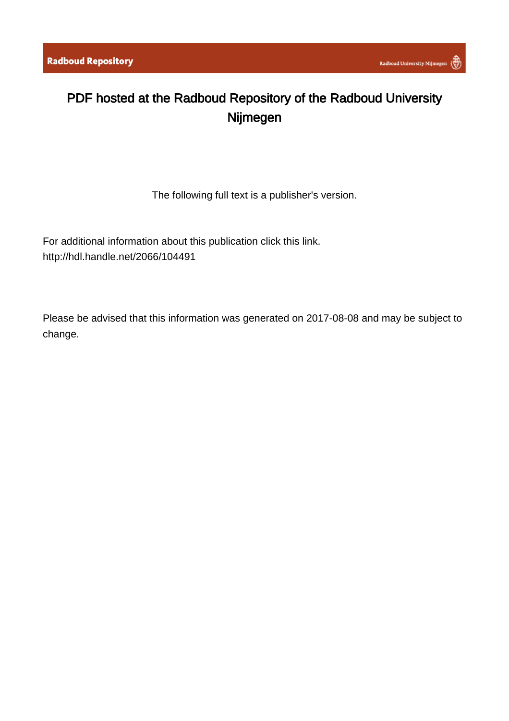## PDF hosted at the Radboud Repository of the Radboud University Nijmegen

The following full text is a publisher's version.

For additional information about this publication click this link. <http://hdl.handle.net/2066/104491>

Please be advised that this information was generated on 2017-08-08 and may be subject to change.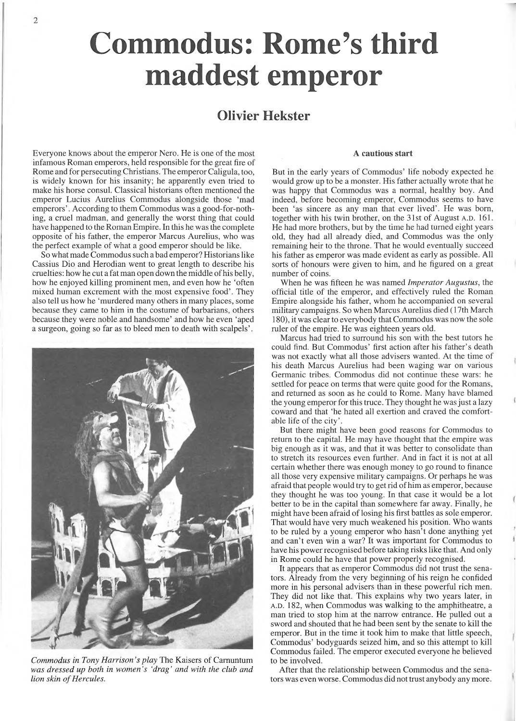# **Commodus: Rome's third maddest emperor**

### **Qlivier Hekster**

Everyone knows about the emperor Nero. He is one of the most infamous Roman emperors, held responsible for the great fire of Rome and for persecuting Christians. The emperor Caligula, too, is widely known for his insanity; he apparently even tried to make his horse consul. Classical historians often mentioned the emperor Lucius Aurelius Commodus alongside those 'mad emperors'. According to them Commodus was a good-for-nothing, a cruel madman, and generally the worst thing that could have happened to the Roman Empire. In this he was the complete opposite of his father, the emperor Marcus Aurelius, who was the perfect example of what a good emperor should be like.

So what made Commodus such a bad emperor? Historians like Cassius Dio and Herodian went to great length to describe his cruelties: how he cut a fat man open down the middle of his belly, how he enjoyed killing prominent men, and even how he 'often mixed human excrement with the most expensive food'. They also tell us how he 'murdered many others in many places, some because they came to him in the costume of barbarians, others because they were noble and handsome' and how he even 'aped a surgeon, going so far as to bleed men to death with scalpels'.



*Commodus in Tony Harrison's play* The Kaisers of Carnuntum *was dressed up both in women's 'drag ' and with the club and lion skin of Hercules.*

#### A **cautious start**

But in the early years of Commodus' life nobody expected he would grow up to be a monster. His father actually wrote that he was happy that Commodus was a normal, healthy boy. And indeed, before becoming emperor, Commodus seems to have been 'as sincere as any man that ever lived'. He was born, together with his twin brother, on the 31st of August A.D. 161. He had more brothers, but by the time he had turned eight years old, they had all already died, and Commodus was the only remaining heir to the throne. That he would eventually succeed his father as emperor was made evident as early as possible. All sorts of honours were given to him, and he figured on a great number of coins.

When he was fifteen he was named *Imperator Augustus*, the official title of the emperor, and effectively ruled the Roman Empire alongside his father, whom he accompanied on several military campaigns. So when Marcus Aurelius died (17th March 180), it was clear to everybody that Commodus was now the sole ruler of the empire. He was eighteen years old.

Marcus had tried to surround his son with the best tutors he could find. But Commodus' first action after his father's death was not exactly what all those advisers wanted. At the time of his death Marcus Aurelius had been waging war on various Germanic tribes. Commodus did not continue these wars: he settled for peace on terms that were quite good for the Romans, and returned as soon as he could to Rome. Many have blamed the young emperor for this truce. They thought he was just a lazy coward and that 'he hated all exertion and craved the comfortable life of the city'.

But there might have been good reasons for Commodus to return to the capital. He may have thought that the empire was big enough as it was, and that it was better to consolidate than to stretch its resources even further. And in fact it is not at all certain whether there was enough money to go round to finance all those very expensive military campaigns. Or perhaps he was afraid that people would try to get rid of him as emperor, because they thought he was too young. In that case it would be a lot better to be in the capital than somewhere far away. Finally, he might have been afraid of losing his first battles as sole emperor. That would have very much weakened his position. Who wants to be ruled by a young emperor who hasn't done anything yet and can't even win a war? It was important for Commodus to have his power recognised before taking risks like that. And only in Rome could he have that power properly recognised.

It appears that as emperor Commodus did not trust the senators. Already from the very beginning of his reign he confided more in his personal advisers than in these powerful rich men. They did not like that. This explains why two years later, in A.D. 182, when Commodus was walking to the amphitheatre, a man tried to stop him at the narrow entrance. He pulled out a sword and shouted that he had been sent by the senate to kill the emperor. But in the time it took him to make that little speech, Commodus' bodyguards seized him, and so this attempt to kill Commodus failed. The emperor executed everyone he believed to be involved.

After that the relationship between Commodus and the senators was even worse. Commodus did not trust anybody any more.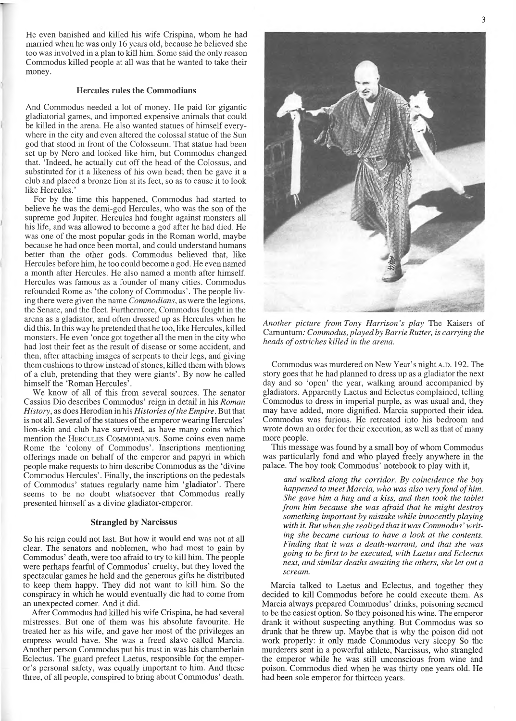He even banished and killed his wife Crispina, whom he had married when he was only 16 years old, because he believed she too was involved in a plan to kill him. Some said the only reason Commodus killed people at all was that he wanted to take their money.

#### **Hercules rules the Commodians**

And Commodus needed a lot of money. He paid for gigantic gladiatorial games, and imported expensive animals that could be killed in the arena. He also wanted statues of himself everywhere in the city and even altered the colossal statue of the Sun god that stood in front of the Colosseum. That statue had been set up by Nero and looked like him, but Commodus changed that. 'Indeed, he actually cut off the head of the Colossus, and substituted for it a likeness of his own head; then he gave it a club and placed a bronze lion at its feet, so as to cause it to look like Hercules.'

For by the time this happened, Commodus had started to believe he was the demi-god Hercules, who was the son of the supreme god Jupiter. Hercules had fought against monsters all his life, and was allowed to become a god after he had died. He was one of the most popular gods in the Roman world, maybe because he had once been mortal, and could understand humans better than the other gods. Commodus believed that, like Hercules before him, he too could become a god. He even named a month after Hercules. He also named a month after himself. Hercules was famous as a founder of many cities. Commodus refounded Rome as 'the colony of Commodus'. The people living there were given the name *Commodians*, as were the legions, the Senate, and the fleet. Furthermore, Commodus fought in the arena as a gladiator, and often dressed up as Hercules when he did this. In this way he pretended that he too, like Hercules, killed monsters. He even 'once got together all the men in the city who had lost their feet as the result of disease or some accident, and then, after attaching images of serpents to their legs, and giving them cushions to throw instead of stones, killed them with blows of a club, pretending that they were giants'. By now he called himself the 'Roman Hercules'.

We know of all of this from several sources. The senator Cassius Dio describes Commodus' reign in detail in his *Roman History*, as does Herodian in his *Histories of the Empire*. But that is not all. Several of the statues of the emperor wearing Hercules' lion-skin and club have survived, as have many coins which mention the HERCULES COMMODIANUS. Some coins even name Rome the 'colony of Commodus'. Inscriptions mentioning offerings made on behalf of the emperor and papyri in which people make requests to him describe Commodus as the 'divine Commodus Hercules'. Finally, the inscriptions on the pedestals of Commodus' statues regularly name him 'gladiator'. There seems to be no doubt whatsoever that Commodus really presented himself as a divine gladiator-emperor.

#### **Strangled by Narcissus**

So his reign could not last. But how it would end was not at all clear. The senators and noblemen, who had most to gain by Commodus' death, were too afraid to try to kill him. The people were perhaps fearful of Commodus' cruelty, but they loved the spectacular games he held and the generous gifts he distributed to keep them happy. They did not want to kill him. So the conspiracy in which he would eventually die had to come from an unexpected comer. And it did.

After Commodus had killed his wife Crispina, he had several mistresses. But one of them was his absolute favourite. He treated her as his wife, and gave her most of the privileges an empress would have. She was a freed slave called Marcia. Another person Commodus put his trust in was his chamberlain Eclectus. The guard prefect Laetus, responsible for the emperor's personal safety, was equally important to him. And these three, of all people, conspired to bring about Commodus' death.



*Another picture from Tony Harrison's play* The Kaisers of Camuntum: *Commodus, played by Barrie Rutter, is carrying the heads of ostriches killed in the arena.*

Commodus was murdered on New Year's night A.D. 192. The story goes that he had planned to dress up as a gladiator the next day and so 'open' the year, walking around accompanied by gladiators. Apparently Laetus and Eclectus complained, telling Commodus to dress in imperial purple, as was usual and, they may have added, more dignified. Marcia supported their idea. Commodus was furious. He retreated into his bedroom and wrote down an order for their execution, as well as that of many more people.

This message was found by a small boy of whom Commodus was particularly fond and who played freely anywhere in the palace. The boy took Commodus' notebook to play with it,

*and walked along the corridor. By coincidence the boy happened to meet Marcia, who was also very fond of him. She gave him a hug and a kiss, and then took the tablet from him because she was afraid that he might destroy something important by mistake while innocently playing with it. But when she realized that it was Commodus ' writing she became curious to have a look at the contents. Finding that it was a death-warrant, and that she was going to be first to be executed, with Laetus and Eclectus next, and similar deaths awaiting the others, she let out a scream.*

Marcia talked to Laetus and Eclectus, and together they decided to kill Commodus before he could execute them. As Marcia always prepared Commodus' drinks, poisoning seemed to be the easiest option. So they poisoned his wine. The emperor drank it without suspecting anything. But Commodus was so drunk that he threw up. Maybe that is why the poison did not work properly: it only made Commodus very sleepy So the murderers sent in a powerful athlete, Narcissus, who strangled the emperor while he was still unconscious from wine and poison. Commodus died when he was thirty one years old. He had been sole emperor for thirteen years.